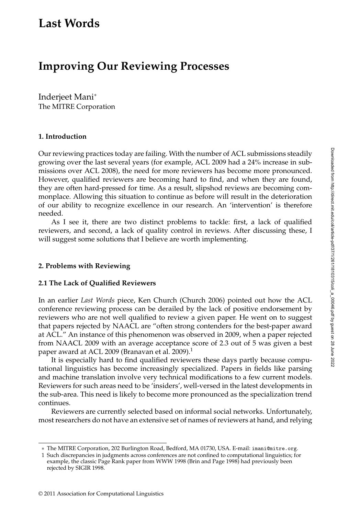# **Last Words**

# **Improving Our Reviewing Processes**

Inderjeet Mani<sup>∗</sup> The MITRE Corporation

### **1. Introduction**

Our reviewing practices today are failing. With the number of ACL submissions steadily growing over the last several years (for example, ACL 2009 had a 24% increase in submissions over ACL 2008), the need for more reviewers has become more pronounced. However, qualified reviewers are becoming hard to find, and when they are found, they are often hard-pressed for time. As a result, slipshod reviews are becoming commonplace. Allowing this situation to continue as before will result in the deterioration of our ability to recognize excellence in our research. An 'intervention' is therefore needed.

As I see it, there are two distinct problems to tackle: first, a lack of qualified reviewers, and second, a lack of quality control in reviews. After discussing these, I will suggest some solutions that I believe are worth implementing.

### **2. Problems with Reviewing**

### **2.1 The Lack of Qualified Reviewers**

In an earlier *Last Words* piece, Ken Church (Church 2006) pointed out how the ACL conference reviewing process can be derailed by the lack of positive endorsement by reviewers who are not well qualified to review a given paper. He went on to suggest that papers rejected by NAACL are "often strong contenders for the best-paper award at ACL." An instance of this phenomenon was observed in 2009, when a paper rejected from NAACL 2009 with an average acceptance score of 2.3 out of 5 was given a best paper award at ACL 2009 (Branavan et al. 2009). $<sup>1</sup>$ </sup>

It is especially hard to find qualified reviewers these days partly because computational linguistics has become increasingly specialized. Papers in fields like parsing and machine translation involve very technical modifications to a few current models. Reviewers for such areas need to be 'insiders', well-versed in the latest developments in the sub-area. This need is likely to become more pronounced as the specialization trend continues.

Reviewers are currently selected based on informal social networks. Unfortunately, most researchers do not have an extensive set of names of reviewers at hand, and relying

<sup>∗</sup> The MITRE Corporation, 202 Burlington Road, Bedford, MA 01730, USA. E-mail: imani@mitre.org.

<sup>1</sup> Such discrepancies in judgments across conferences are not confined to computational linguistics; for example, the classic Page Rank paper from WWW 1998 (Brin and Page 1998) had previously been rejected by SIGIR 1998.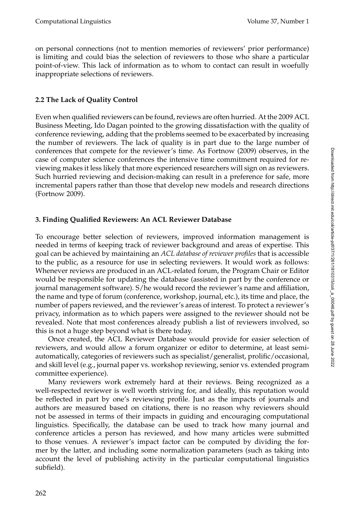on personal connections (not to mention memories of reviewers' prior performance) is limiting and could bias the selection of reviewers to those who share a particular point-of-view. This lack of information as to whom to contact can result in woefully inappropriate selections of reviewers.

# **2.2 The Lack of Quality Control**

Even when qualified reviewers can be found, reviews are often hurried. At the 2009 ACL Business Meeting, Ido Dagan pointed to the growing dissatisfaction with the quality of conference reviewing, adding that the problems seemed to be exacerbated by increasing the number of reviewers. The lack of quality is in part due to the large number of conferences that compete for the reviewer's time. As Fortnow (2009) observes, in the case of computer science conferences the intensive time commitment required for reviewing makes it less likely that more experienced researchers will sign on as reviewers. Such hurried reviewing and decision-making can result in a preference for safe, more incremental papers rather than those that develop new models and research directions (Fortnow 2009).

## **3. Finding Qualified Reviewers: An ACL Reviewer Database**

To encourage better selection of reviewers, improved information management is needed in terms of keeping track of reviewer background and areas of expertise. This goal can be achieved by maintaining an *ACL database of reviewer profiles* that is accessible to the public, as a resource for use in selecting reviewers. It would work as follows: Whenever reviews are produced in an ACL-related forum, the Program Chair or Editor would be responsible for updating the database (assisted in part by the conference or journal management software). S/he would record the reviewer's name and affiliation, the name and type of forum (conference, workshop, journal, etc.), its time and place, the number of papers reviewed, and the reviewer's areas of interest. To protect a reviewer's privacy, information as to which papers were assigned to the reviewer should not be revealed. Note that most conferences already publish a list of reviewers involved, so this is not a huge step beyond what is there today.

Once created, the ACL Reviewer Database would provide for easier selection of reviewers, and would allow a forum organizer or editor to determine, at least semiautomatically, categories of reviewers such as specialist/generalist, prolific/occasional, and skill level (e.g., journal paper vs. workshop reviewing, senior vs. extended program committee experience).

Many reviewers work extremely hard at their reviews. Being recognized as a well-respected reviewer is well worth striving for, and ideally, this reputation would be reflected in part by one's reviewing profile. Just as the impacts of journals and authors are measured based on citations, there is no reason why reviewers should not be assessed in terms of their impacts in guiding and encouraging computational linguistics. Specifically, the database can be used to track how many journal and conference articles a person has reviewed, and how many articles were submitted to those venues. A reviewer's impact factor can be computed by dividing the former by the latter, and including some normalization parameters (such as taking into account the level of publishing activity in the particular computational linguistics subfield).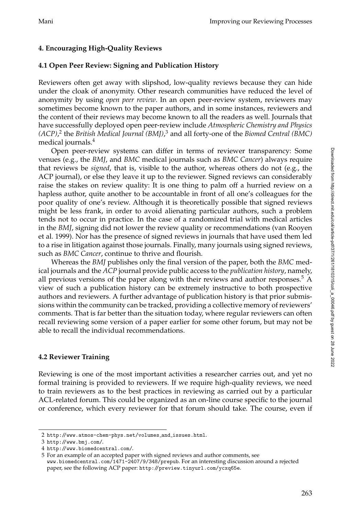# **4. Encouraging High-Quality Reviews**

## **4.1 Open Peer Review: Signing and Publication History**

Reviewers often get away with slipshod, low-quality reviews because they can hide under the cloak of anonymity. Other research communities have reduced the level of anonymity by using *open peer review*. In an open peer-review system, reviewers may sometimes become known to the paper authors, and in some instances, reviewers and the content of their reviews may become known to all the readers as well. Journals that have successfully deployed open peer-review include *Atmospheric Chemistry and Physics (ACP)*, <sup>2</sup> the *British Medical Journal (BMJ)*, <sup>3</sup> and all forty-one of the *Biomed Central (BMC)* medical journals.<sup>4</sup>

Open peer-review systems can differ in terms of reviewer transparency: Some venues (e.g., the *BMJ*, and *BMC* medical journals such as *BMC Cancer*) always require that reviews be *signed*, that is, visible to the author, whereas others do not (e.g., the ACP journal), or else they leave it up to the reviewer. Signed reviews can considerably raise the stakes on review quality: It is one thing to palm off a hurried review on a hapless author, quite another to be accountable in front of all one's colleagues for the poor quality of one's review. Although it is theoretically possible that signed reviews might be less frank, in order to avoid alienating particular authors, such a problem tends not to occur in practice. In the case of a randomized trial with medical articles in the *BMJ*, signing did not lower the review quality or recommendations (van Rooyen et al. 1999). Nor has the presence of signed reviews in journals that have used them led to a rise in litigation against those journals. Finally, many journals using signed reviews, such as *BMC Cancer*, continue to thrive and flourish.

Whereas the *BMJ* publishes only the final version of the paper, both the *BMC* medical journals and the *ACP* journal provide public access to the *publication history*, namely, all previous versions of the paper along with their reviews and author responses. $5 \text{ A}$ view of such a publication history can be extremely instructive to both prospective authors and reviewers. A further advantage of publication history is that prior submissions within the community can be tracked, providing a collective memory of reviewers' comments. That is far better than the situation today, where regular reviewers can often recall reviewing some version of a paper earlier for some other forum, but may not be able to recall the individual recommendations.

## **4.2 Reviewer Training**

Reviewing is one of the most important activities a researcher carries out, and yet no formal training is provided to reviewers. If we require high-quality reviews, we need to train reviewers as to the best practices in reviewing as carried out by a particular ACL-related forum. This could be organized as an on-line course specific to the journal or conference, which every reviewer for that forum should take. The course, even if

<sup>2</sup> http://www.atmos-chem-phys.net/volumes and issues.html.

<sup>3</sup> http://www.bmj.com/.

<sup>4</sup> http://www.biomedcentral.com/.

<sup>5</sup> For an example of an accepted paper with signed reviews and author comments, see www.biomedcentral.com/1471-2407/9/348/prepub. For an interesting discussion around a rejected paper, see the following ACP paper: http://preview.tinyurl.com/ycxq65e.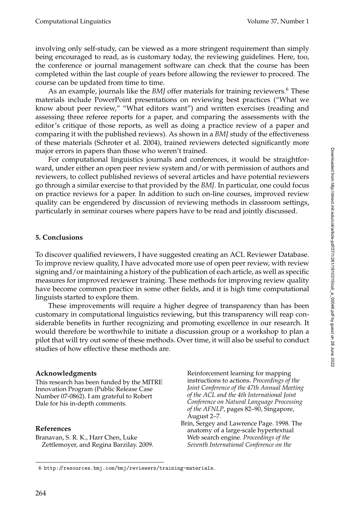involving only self-study, can be viewed as a more stringent requirement than simply being encouraged to read, as is customary today, the reviewing guidelines. Here, too, the conference or journal management software can check that the course has been completed within the last couple of years before allowing the reviewer to proceed. The course can be updated from time to time.

As an example, journals like the *BMJ* offer materials for training reviewers.<sup>6</sup> These materials include PowerPoint presentations on reviewing best practices ("What we know about peer review," "What editors want") and written exercises (reading and assessing three referee reports for a paper, and comparing the assessments with the editor's critique of those reports, as well as doing a practice review of a paper and comparing it with the published reviews). As shown in a *BMJ* study of the effectiveness of these materials (Schroter et al. 2004), trained reviewers detected significantly more major errors in papers than those who weren't trained.

For computational linguistics journals and conferences, it would be straightforward, under either an open peer review system and/or with permission of authors and reviewers, to collect published reviews of several articles and have potential reviewers go through a similar exercise to that provided by the *BMJ*. In particular, one could focus on practice reviews for a paper. In addition to such on-line courses, improved review quality can be engendered by discussion of reviewing methods in classroom settings, particularly in seminar courses where papers have to be read and jointly discussed.

# **5. Conclusions**

To discover qualified reviewers, I have suggested creating an ACL Reviewer Database. To improve review quality, I have advocated more use of open peer review, with review signing and/or maintaining a history of the publication of each article, as well as specific measures for improved reviewer training. These methods for improving review quality have become common practice in some other fields, and it is high time computational linguists started to explore them.

These improvements will require a higher degree of transparency than has been customary in computational linguistics reviewing, but this transparency will reap considerable benefits in further recognizing and promoting excellence in our research. It would therefore be worthwhile to initiate a discussion group or a workshop to plan a pilot that will try out some of these methods. Over time, it will also be useful to conduct studies of how effective these methods are.

## **Acknowledgments**

This research has been funded by the MITRE Innovation Program (Public Release Case Number 07-0862). I am grateful to Robert Dale for his in-depth comments.

### **References**

Branavan, S. R. K., Harr Chen, Luke Zettlemoyer, and Regina Barzilay. 2009. Reinforcement learning for mapping instructions to actions. *Proceedings of the Joint Conference of the 47th Annual Meeting of the ACL and the 4th International Joint Conference on Natural Language Processing of the AFNLP*, pages 82–90, Singapore, August 2–7.

Brin, Sergey and Lawrence Page. 1998. The anatomy of a large-scale hypertextual Web search engine. *Proceedings of the Seventh International Conference on the*

<sup>6</sup> http://resources.bmj.com/bmj/reviewers/training-materials.